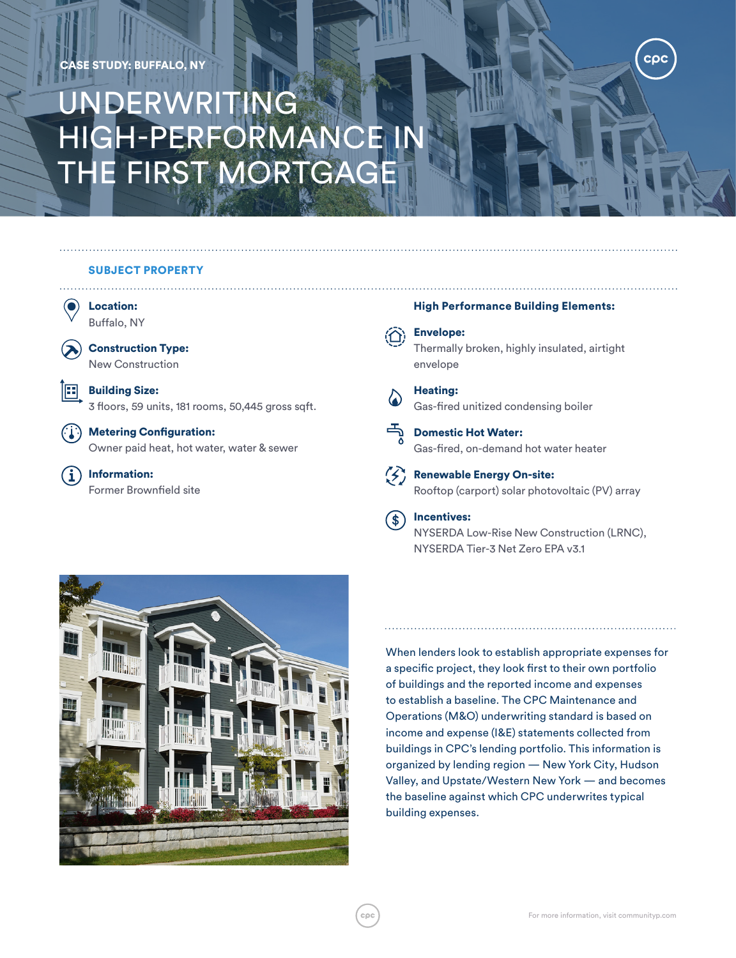## CASE STUDY: BUFFALO, NY

# UNDERWRITING HIGH-PERFORMANCE IN THE FIRST MORTGAGE

## SUBJECT PROPERTY



**Building Size:** 

3 floors, 59 units, 181 rooms, 50,445 gross sqft.

 $\binom{n}{k}$  Metering Configuration: Owner paid heat, hot water, water & sewer

Information: Former Brownfield site

#### High Performance Building Elements:

cpc

Envelope:

Thermally broken, highly insulated, airtight envelope

Heating: Gas-fired unitized condensing boiler



Domestic Hot Water: Gas-fired, on-demand hot water heater



 $(\leq)$  Renewable Energy On-site: Rooftop (carport) solar photovoltaic (PV) array

#### Incentives:  $(\textcolor{red}{\ast})$

NYSERDA Low-Rise New Construction (LRNC), NYSERDA Tier-3 Net Zero EPA v3.1



When lenders look to establish appropriate expenses for a specific project, they look first to their own portfolio of buildings and the reported income and expenses to establish a baseline. The CPC Maintenance and Operations (M&O) underwriting standard is based on income and expense (I&E) statements collected from buildings in CPC's lending portfolio. This information is organized by lending region — New York City, Hudson Valley, and Upstate/Western New York — and becomes the baseline against which CPC underwrites typical building expenses.